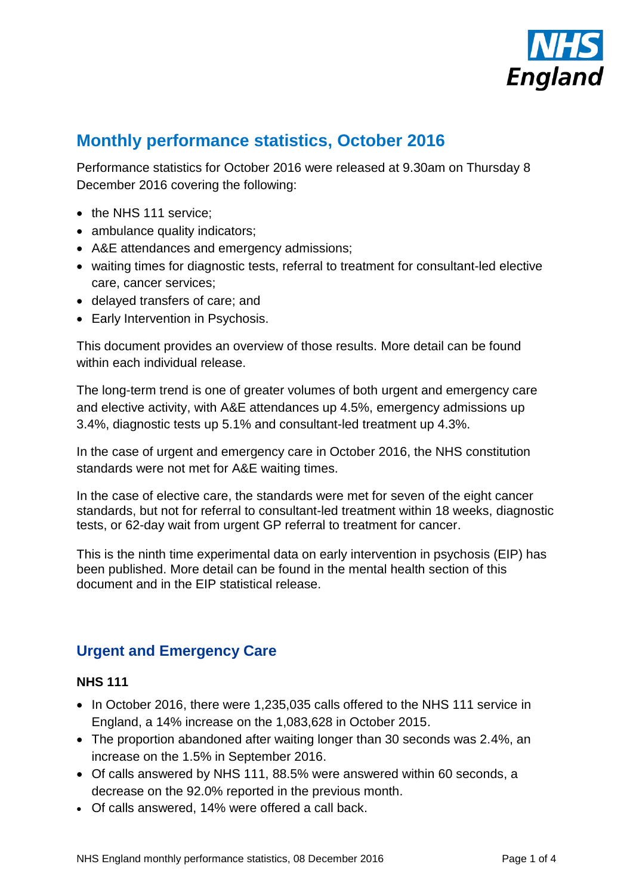

# **Monthly performance statistics, October 2016**

Performance statistics for October 2016 were released at 9.30am on Thursday 8 December 2016 covering the following:

- the NHS 111 service;
- ambulance quality indicators;
- A&E attendances and emergency admissions;
- waiting times for diagnostic tests, referral to treatment for consultant-led elective care, cancer services;
- delayed transfers of care; and
- Early Intervention in Psychosis.

This document provides an overview of those results. More detail can be found within each individual release.

The long-term trend is one of greater volumes of both urgent and emergency care and elective activity, with A&E attendances up 4.5%, emergency admissions up 3.4%, diagnostic tests up 5.1% and consultant-led treatment up 4.3%.

In the case of urgent and emergency care in October 2016, the NHS constitution standards were not met for A&E waiting times.

In the case of elective care, the standards were met for seven of the eight cancer standards, but not for referral to consultant-led treatment within 18 weeks, diagnostic tests, or 62-day wait from urgent GP referral to treatment for cancer.

This is the ninth time experimental data on early intervention in psychosis (EIP) has been published. More detail can be found in the mental health section of this document and in the EIP statistical release.

# **Urgent and Emergency Care**

#### **NHS 111**

- In October 2016, there were 1,235,035 calls offered to the NHS 111 service in England, a 14% increase on the 1,083,628 in October 2015.
- The proportion abandoned after waiting longer than 30 seconds was 2.4%, an increase on the 1.5% in September 2016.
- Of calls answered by NHS 111, 88.5% were answered within 60 seconds, a decrease on the 92.0% reported in the previous month.
- Of calls answered, 14% were offered a call back.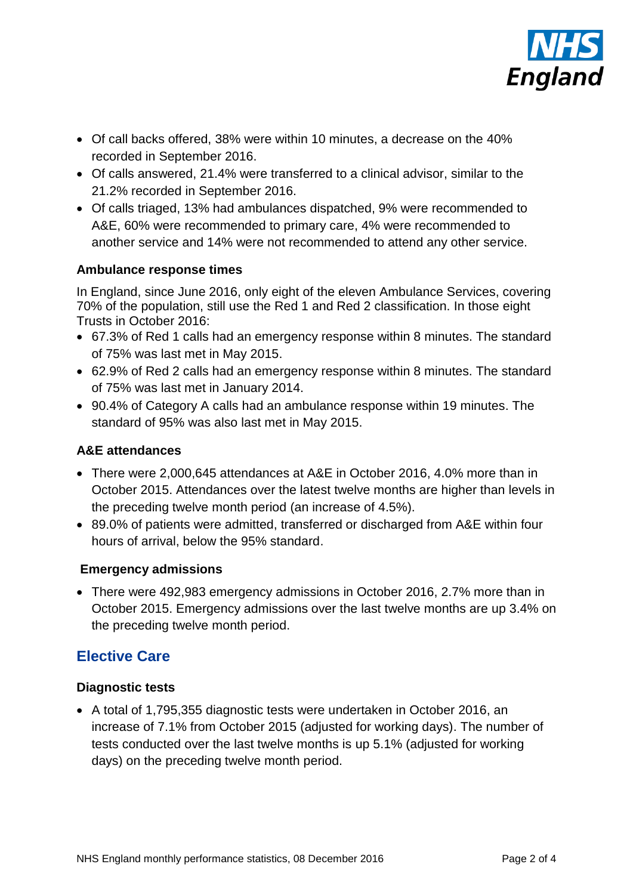

- Of call backs offered, 38% were within 10 minutes, a decrease on the 40% recorded in September 2016.
- Of calls answered, 21.4% were transferred to a clinical advisor, similar to the 21.2% recorded in September 2016.
- Of calls triaged, 13% had ambulances dispatched, 9% were recommended to A&E, 60% were recommended to primary care, 4% were recommended to another service and 14% were not recommended to attend any other service.

#### **Ambulance response times**

In England, since June 2016, only eight of the eleven Ambulance Services, covering 70% of the population, still use the Red 1 and Red 2 classification. In those eight Trusts in October 2016:

- 67.3% of Red 1 calls had an emergency response within 8 minutes. The standard of 75% was last met in May 2015.
- 62.9% of Red 2 calls had an emergency response within 8 minutes. The standard of 75% was last met in January 2014.
- 90.4% of Category A calls had an ambulance response within 19 minutes. The standard of 95% was also last met in May 2015.

### **A&E attendances**

- There were 2,000,645 attendances at A&E in October 2016, 4.0% more than in October 2015. Attendances over the latest twelve months are higher than levels in the preceding twelve month period (an increase of 4.5%).
- 89.0% of patients were admitted, transferred or discharged from A&E within four hours of arrival, below the 95% standard.

# **Emergency admissions**

 There were 492,983 emergency admissions in October 2016, 2.7% more than in October 2015. Emergency admissions over the last twelve months are up 3.4% on the preceding twelve month period.

# **Elective Care**

# **Diagnostic tests**

 A total of 1,795,355 diagnostic tests were undertaken in October 2016, an increase of 7.1% from October 2015 (adjusted for working days). The number of tests conducted over the last twelve months is up 5.1% (adjusted for working days) on the preceding twelve month period.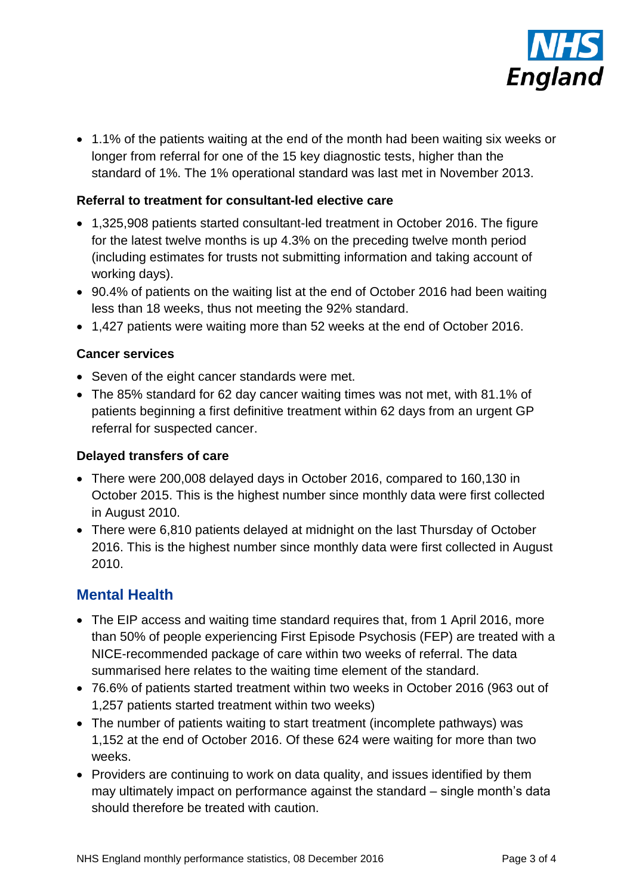

 1.1% of the patients waiting at the end of the month had been waiting six weeks or longer from referral for one of the 15 key diagnostic tests, higher than the standard of 1%. The 1% operational standard was last met in November 2013.

# **Referral to treatment for consultant-led elective care**

- 1,325,908 patients started consultant-led treatment in October 2016. The figure for the latest twelve months is up 4.3% on the preceding twelve month period (including estimates for trusts not submitting information and taking account of working days).
- 90.4% of patients on the waiting list at the end of October 2016 had been waiting less than 18 weeks, thus not meeting the 92% standard.
- 1,427 patients were waiting more than 52 weeks at the end of October 2016.

#### **Cancer services**

- Seven of the eight cancer standards were met.
- The 85% standard for 62 day cancer waiting times was not met, with 81.1% of patients beginning a first definitive treatment within 62 days from an urgent GP referral for suspected cancer.

#### **Delayed transfers of care**

- There were 200,008 delayed days in October 2016, compared to 160,130 in October 2015. This is the highest number since monthly data were first collected in August 2010.
- There were 6,810 patients delayed at midnight on the last Thursday of October 2016. This is the highest number since monthly data were first collected in August 2010.

# **Mental Health**

- The EIP access and waiting time standard requires that, from 1 April 2016, more than 50% of people experiencing First Episode Psychosis (FEP) are treated with a NICE-recommended package of care within two weeks of referral. The data summarised here relates to the waiting time element of the standard.
- 76.6% of patients started treatment within two weeks in October 2016 (963 out of 1,257 patients started treatment within two weeks)
- The number of patients waiting to start treatment (incomplete pathways) was 1,152 at the end of October 2016. Of these 624 were waiting for more than two weeks.
- Providers are continuing to work on data quality, and issues identified by them may ultimately impact on performance against the standard – single month's data should therefore be treated with caution.